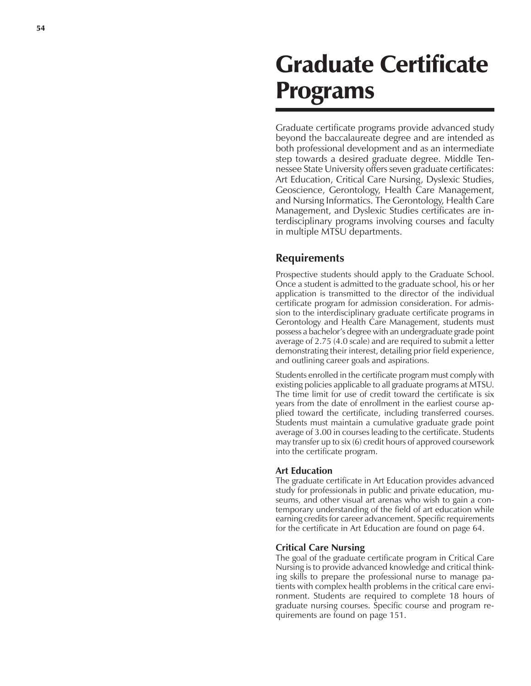# Graduate Certificate Programs

Graduate certificate programs provide advanced study beyond the baccalaureate degree and are intended as both professional development and as an intermediate step towards a desired graduate degree. Middle Tennessee State University offers seven graduate certificates: Art Education, Critical Care Nursing, Dyslexic Studies, Geoscience, Gerontology, Health Care Management, and Nursing Informatics. The Gerontology, Health Care Management, and Dyslexic Studies certificates are interdisciplinary programs involving courses and faculty in multiple MTSU departments.

# **Requirements**

Prospective students should apply to the Graduate School. Once a student is admitted to the graduate school, his or her application is transmitted to the director of the individual certificate program for admission consideration. For admission to the interdisciplinary graduate certificate programs in Gerontology and Health Care Management, students must possess a bachelor's degree with an undergraduate grade point average of 2.75 (4.0 scale) and are required to submit a letter demonstrating their interest, detailing prior field experience, and outlining career goals and aspirations.

Students enrolled in the certificate program must comply with existing policies applicable to all graduate programs at MTSU. The time limit for use of credit toward the certificate is six years from the date of enrollment in the earliest course applied toward the certificate, including transferred courses. Students must maintain a cumulative graduate grade point average of 3.00 in courses leading to the certificate. Students may transfer up to six (6) credit hours of approved coursework into the certificate program.

# **Art Education**

The graduate certificate in Art Education provides advanced study for professionals in public and private education, museums, and other visual art arenas who wish to gain a contemporary understanding of the field of art education while earning credits for career advancement. Specific requirements for the certificate in Art Education are found on page 64.

#### **Critical Care Nursing**

The goal of the graduate certificate program in Critical Care Nursing is to provide advanced knowledge and critical thinking skills to prepare the professional nurse to manage patients with complex health problems in the critical care environment. Students are required to complete 18 hours of graduate nursing courses. Specific course and program requirements are found on page 151.